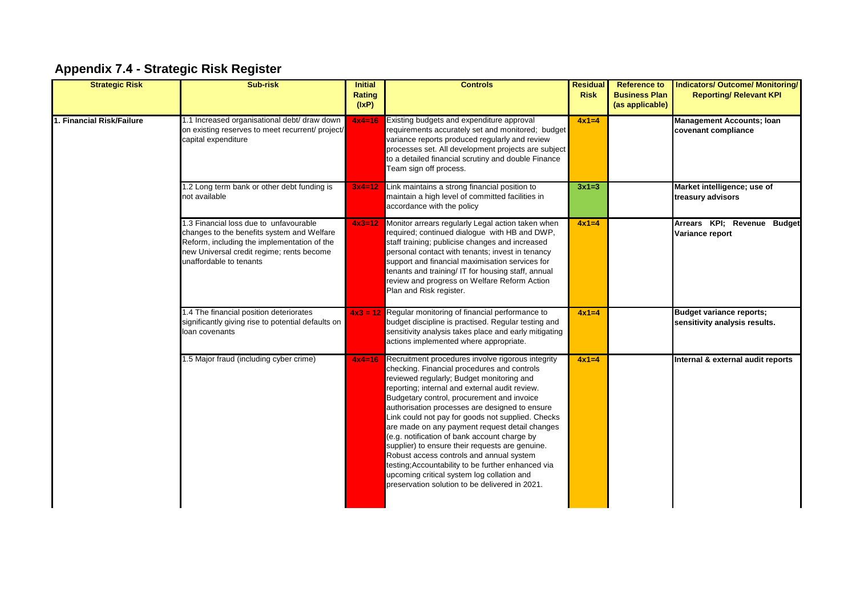## **Appendix 7.4 - Strategic Risk Register**

| <b>Strategic Risk</b>     | Sub-risk                                                                                                                                                                                                    | <b>Initial</b><br>Rating<br>(IxP) | <b>Controls</b>                                                                                                                                                                                                                                                                                                                                                                                                                                                                                                                                                                                                                                                                                             | <b>Residual</b><br><b>Risk</b> | <b>Reference to</b><br><b>Business Plan</b><br>(as applicable) | <b>Indicators/ Outcome/ Monitoring/</b><br><b>Reporting/ Relevant KPI</b> |
|---------------------------|-------------------------------------------------------------------------------------------------------------------------------------------------------------------------------------------------------------|-----------------------------------|-------------------------------------------------------------------------------------------------------------------------------------------------------------------------------------------------------------------------------------------------------------------------------------------------------------------------------------------------------------------------------------------------------------------------------------------------------------------------------------------------------------------------------------------------------------------------------------------------------------------------------------------------------------------------------------------------------------|--------------------------------|----------------------------------------------------------------|---------------------------------------------------------------------------|
| 1. Financial Risk/Failure | 1.1 Increased organisational debt/ draw down<br>on existing reserves to meet recurrent/ project/<br>capital expenditure                                                                                     | $4x4=16$                          | Existing budgets and expenditure approval<br>requirements accurately set and monitored; budget<br>variance reports produced regularly and review<br>processes set. All development projects are subject<br>to a detailed financial scrutiny and double Finance<br>Team sign off process.                                                                                                                                                                                                                                                                                                                                                                                                                    | $4x1=4$                        |                                                                | <b>Management Accounts; Ioan</b><br>covenant compliance                   |
|                           | 1.2 Long term bank or other debt funding is<br>not available                                                                                                                                                | $3x4 = 12$                        | Link maintains a strong financial position to<br>maintain a high level of committed facilities in<br>accordance with the policy                                                                                                                                                                                                                                                                                                                                                                                                                                                                                                                                                                             | $3x1=3$                        |                                                                | Market intelligence; use of<br>treasury advisors                          |
|                           | 1.3 Financial loss due to unfavourable<br>changes to the benefits system and Welfare<br>Reform, including the implementation of the<br>new Universal credit regime; rents become<br>unaffordable to tenants | $4x3=12$                          | Monitor arrears regularly Legal action taken when<br>required; continued dialogue with HB and DWP,<br>staff training; publicise changes and increased<br>personal contact with tenants; invest in tenancy<br>support and financial maximisation services for<br>tenants and training/ IT for housing staff, annual<br>review and progress on Welfare Reform Action<br>Plan and Risk register.                                                                                                                                                                                                                                                                                                               | $4x1=4$                        |                                                                | Arrears KPI; Revenue Budget<br>Variance report                            |
|                           | 1.4 The financial position deteriorates<br>significantly giving rise to potential defaults on<br>loan covenants                                                                                             | $4x3 = 12$                        | Regular monitoring of financial performance to<br>budget discipline is practised. Regular testing and<br>sensitivity analysis takes place and early mitigating<br>actions implemented where appropriate.                                                                                                                                                                                                                                                                                                                                                                                                                                                                                                    | $4x1=4$                        |                                                                | <b>Budget variance reports;</b><br>sensitivity analysis results.          |
|                           | 1.5 Major fraud (including cyber crime)                                                                                                                                                                     | $4x4=16$                          | Recruitment procedures involve rigorous integrity<br>checking. Financial procedures and controls<br>reviewed regularly; Budget monitoring and<br>reporting; internal and external audit review.<br>Budgetary control, procurement and invoice<br>authorisation processes are designed to ensure<br>Link could not pay for goods not supplied. Checks<br>are made on any payment request detail changes<br>(e.g. notification of bank account charge by<br>supplier) to ensure their requests are genuine.<br>Robust access controls and annual system<br>testing; Accountability to be further enhanced via<br>upcoming critical system log collation and<br>preservation solution to be delivered in 2021. | $4x1=4$                        |                                                                | Internal & external audit reports                                         |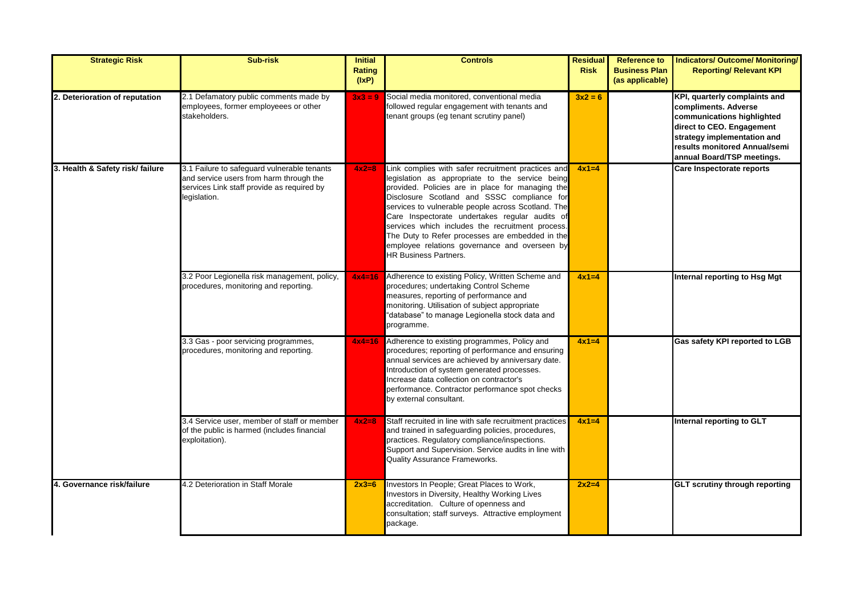| <b>Strategic Risk</b>            | <b>Sub-risk</b>                                                                                                                                      | <b>Initial</b><br><b>Rating</b><br>(IxP) | <b>Controls</b>                                                                                                                                                                                                                                                                                                                                                                                                                                                                                          | <b>Residual</b><br><b>Risk</b> | <b>Reference to</b><br><b>Business Plan</b><br>(as applicable) | <b>Indicators/ Outcome/ Monitoring/</b><br><b>Reporting/ Relevant KPI</b>                                                                                                                                      |
|----------------------------------|------------------------------------------------------------------------------------------------------------------------------------------------------|------------------------------------------|----------------------------------------------------------------------------------------------------------------------------------------------------------------------------------------------------------------------------------------------------------------------------------------------------------------------------------------------------------------------------------------------------------------------------------------------------------------------------------------------------------|--------------------------------|----------------------------------------------------------------|----------------------------------------------------------------------------------------------------------------------------------------------------------------------------------------------------------------|
| 2. Deterioration of reputation   | 2.1 Defamatory public comments made by<br>employees, former employeees or other<br>stakeholders.                                                     | $3x3 = 9$                                | Social media monitored, conventional media<br>followed regular engagement with tenants and<br>tenant groups (eg tenant scrutiny panel)                                                                                                                                                                                                                                                                                                                                                                   | $3x^2 = 6$                     |                                                                | KPI, quarterly complaints and<br>compliments. Adverse<br>communications highlighted<br>direct to CEO. Engagement<br>strategy implementation and<br>results monitored Annual/semi<br>annual Board/TSP meetings. |
| 3. Health & Safety risk/ failure | 3.1 Failure to safeguard vulnerable tenants<br>and service users from harm through the<br>services Link staff provide as required by<br>legislation. | $4x2=8$                                  | Link complies with safer recruitment practices and<br>legislation as appropriate to the service being<br>provided. Policies are in place for managing the<br>Disclosure Scotland and SSSC compliance for<br>services to vulnerable people across Scotland. The<br>Care Inspectorate undertakes regular audits of<br>services which includes the recruitment process.<br>The Duty to Refer processes are embedded in the<br>employee relations governance and overseen by<br><b>HR Business Partners.</b> | $4x1=4$                        |                                                                | Care Inspectorate reports                                                                                                                                                                                      |
|                                  | 3.2 Poor Legionella risk management, policy,<br>procedures, monitoring and reporting.                                                                | $4x4=16$                                 | Adherence to existing Policy, Written Scheme and<br>procedures; undertaking Control Scheme<br>measures, reporting of performance and<br>monitoring. Utilisation of subject appropriate<br>'database" to manage Legionella stock data and<br>programme.                                                                                                                                                                                                                                                   | $4x1=4$                        |                                                                | Internal reporting to Hsg Mgt                                                                                                                                                                                  |
|                                  | 3.3 Gas - poor servicing programmes,<br>procedures, monitoring and reporting.                                                                        | $4x4=16$                                 | Adherence to existing programmes, Policy and<br>procedures; reporting of performance and ensuring<br>annual services are achieved by anniversary date.<br>Introduction of system generated processes.<br>Increase data collection on contractor's<br>performance. Contractor performance spot checks<br>by external consultant.                                                                                                                                                                          | $4x1=4$                        |                                                                | Gas safety KPI reported to LGB                                                                                                                                                                                 |
|                                  | 3.4 Service user, member of staff or member<br>of the public is harmed (includes financial<br>exploitation).                                         | $4x2=8$                                  | Staff recruited in line with safe recruitment practices<br>and trained in safeguarding policies, procedures,<br>practices. Regulatory compliance/inspections.<br>Support and Supervision. Service audits in line with<br>Quality Assurance Frameworks.                                                                                                                                                                                                                                                   | $4x1=4$                        |                                                                | Internal reporting to GLT                                                                                                                                                                                      |
| 4. Governance risk/failure       | 4.2 Deterioration in Staff Morale                                                                                                                    | $2x3=6$                                  | Investors In People; Great Places to Work,<br>Investors in Diversity, Healthy Working Lives<br>accreditation. Culture of openness and<br>consultation; staff surveys. Attractive employment<br>package.                                                                                                                                                                                                                                                                                                  | $2x2=4$                        |                                                                | <b>GLT scrutiny through reporting</b>                                                                                                                                                                          |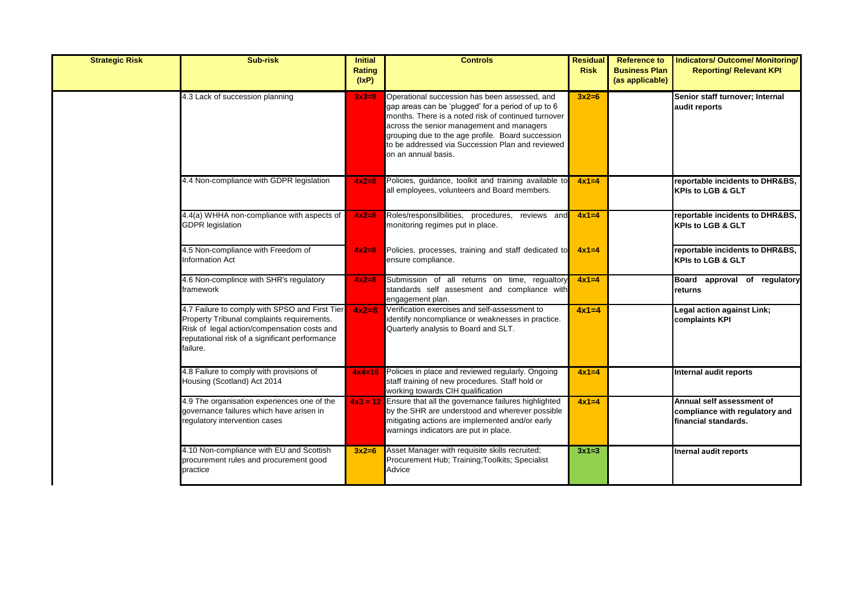| <b>Strategic Risk</b> | Sub-risk                                                                                                                                                                                                  | <b>Initial</b><br><b>Rating</b><br>(IxP) | <b>Controls</b>                                                                                                                                                                                                                                                                                                                         | <b>Residual</b><br><b>Risk</b> | <b>Reference to</b><br><b>Business Plan</b><br>(as applicable) | <b>Indicators/ Outcome/ Monitoring/</b><br><b>Reporting/ Relevant KPI</b>           |
|-----------------------|-----------------------------------------------------------------------------------------------------------------------------------------------------------------------------------------------------------|------------------------------------------|-----------------------------------------------------------------------------------------------------------------------------------------------------------------------------------------------------------------------------------------------------------------------------------------------------------------------------------------|--------------------------------|----------------------------------------------------------------|-------------------------------------------------------------------------------------|
|                       | 4.3 Lack of succession planning                                                                                                                                                                           | $3x3=9$                                  | Operational succession has been assessed, and<br>gap areas can be 'plugged' for a period of up to 6<br>months. There is a noted risk of continued turnover<br>across the senior management and managers<br>grouping due to the age profile. Board succession<br>to be addressed via Succession Plan and reviewed<br>on an annual basis. | $3x2=6$                        |                                                                | Senior staff turnover; Internal<br>audit reports                                    |
|                       | 4.4 Non-compliance with GDPR legislation                                                                                                                                                                  | $4x2=8$                                  | Policies, guidance, toolkit and training available to<br>all employees, volunteers and Board members.                                                                                                                                                                                                                                   | $4x1=4$                        |                                                                | reportable incidents to DHR&BS,<br><b>KPIs to LGB &amp; GLT</b>                     |
|                       | 4.4(a) WHHA non-compliance with aspects of<br><b>GDPR</b> legislation                                                                                                                                     | $4x2=8$                                  | Roles/responsilbilities, procedures, reviews and<br>monitoring regimes put in place.                                                                                                                                                                                                                                                    | $4x1=4$                        |                                                                | reportable incidents to DHR&BS,<br><b>KPIs to LGB &amp; GLT</b>                     |
|                       | 4.5 Non-compliance with Freedom of<br>nformation Act                                                                                                                                                      | $4x2=8$                                  | Policies, processes, training and staff dedicated to<br>ensure compliance.                                                                                                                                                                                                                                                              | $4x1=4$                        |                                                                | reportable incidents to DHR&BS,<br><b>KPIs to LGB &amp; GLT</b>                     |
|                       | 4.6 Non-complince with SHR's regulatory<br>framework                                                                                                                                                      | $4x2=8$                                  | Submission of all returns on time, regualtory<br>standards self assesment and compliance with<br>engagement plan.                                                                                                                                                                                                                       | $4x1=4$                        |                                                                | Board approval of regulatory<br>returns                                             |
|                       | 4.7 Failure to comply with SPSO and First Tier<br>Property Tribunal complaints requirements.<br>Risk of legal action/compensation costs and<br>reputational risk of a significant performance<br>failure. | $4x2=8$                                  | Verification exercises and self-assessment to<br>identify noncompliance or weaknesses in practice.<br>Quarterly analysis to Board and SLT.                                                                                                                                                                                              | $4x1=4$                        |                                                                | Legal action against Link;<br>complaints KPI                                        |
|                       | 4.8 Failure to comply with provisions of<br>Housing (Scotland) Act 2014                                                                                                                                   | $4x4=16$                                 | Policies in place and reviewed regularly. Ongoing<br>staff training of new procedures. Staff hold or<br>working towards CIH qualification                                                                                                                                                                                               | $4x1=4$                        |                                                                | Internal audit reports                                                              |
|                       | 4.9 The organisation experiences one of the<br>governance failures which have arisen in<br>regulatory intervention cases                                                                                  |                                          | $4x3 = 12$ Ensure that all the governance failures highlighted<br>by the SHR are understood and wherever possible<br>mitigating actions are implemented and/or early<br>warnings indicators are put in place.                                                                                                                           | $4x1=4$                        |                                                                | Annual self assessment of<br>compliance with regulatory and<br>financial standards. |
|                       | 4.10 Non-compliance with EU and Scottish<br>procurement rules and procurement good<br>practice                                                                                                            | $3x2=6$                                  | Asset Manager with requisite skills recruited;<br>Procurement Hub; Training; Toolkits; Specialist<br>Advice                                                                                                                                                                                                                             | $3x1=3$                        |                                                                | <b>Inernal audit reports</b>                                                        |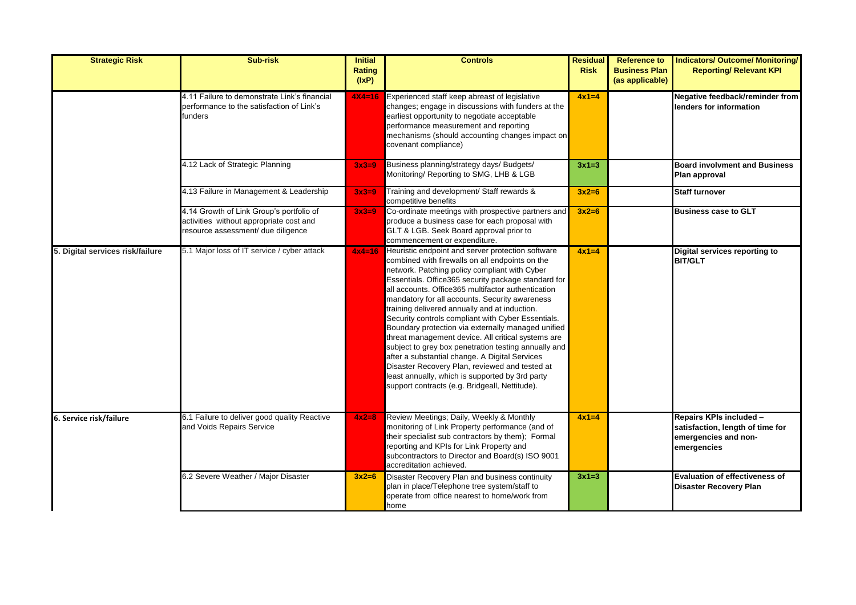| <b>Strategic Risk</b>            | <b>Sub-risk</b>                                                                                                           | <b>Initial</b><br><b>Rating</b><br>(IxP) | <b>Controls</b>                                                                                                                                                                                                                                                                                                                                                                                                                                                                                                                                                                                                                                                                                                                                                                                          | <b>Residual</b><br><b>Risk</b> | <b>Reference to</b><br><b>Business Plan</b><br>(as applicable) | <b>Indicators/ Outcome/ Monitoring/</b><br><b>Reporting/ Relevant KPI</b>                          |
|----------------------------------|---------------------------------------------------------------------------------------------------------------------------|------------------------------------------|----------------------------------------------------------------------------------------------------------------------------------------------------------------------------------------------------------------------------------------------------------------------------------------------------------------------------------------------------------------------------------------------------------------------------------------------------------------------------------------------------------------------------------------------------------------------------------------------------------------------------------------------------------------------------------------------------------------------------------------------------------------------------------------------------------|--------------------------------|----------------------------------------------------------------|----------------------------------------------------------------------------------------------------|
|                                  | 4.11 Failure to demonstrate Link's financial<br>performance to the satisfaction of Link's<br>funders                      | $4X4 = 16$                               | Experienced staff keep abreast of legislative<br>changes; engage in discussions with funders at the<br>earliest opportunity to negotiate acceptable<br>performance measurement and reporting<br>mechanisms (should accounting changes impact on<br>covenant compliance)                                                                                                                                                                                                                                                                                                                                                                                                                                                                                                                                  | $4x1=4$                        |                                                                | Negative feedback/reminder from<br>lenders for information                                         |
|                                  | 4.12 Lack of Strategic Planning                                                                                           | $3x3=9$                                  | Business planning/strategy days/ Budgets/<br>Monitoring/ Reporting to SMG, LHB & LGB                                                                                                                                                                                                                                                                                                                                                                                                                                                                                                                                                                                                                                                                                                                     | $3x1=3$                        |                                                                | <b>Board involvment and Business</b><br>Plan approval                                              |
|                                  | 4.13 Failure in Management & Leadership                                                                                   | $3x3=9$                                  | Training and development/ Staff rewards &<br>competitive benefits                                                                                                                                                                                                                                                                                                                                                                                                                                                                                                                                                                                                                                                                                                                                        | $3x2=6$                        |                                                                | <b>Staff turnover</b>                                                                              |
|                                  | 4.14 Growth of Link Group's portfolio of<br>activities without appropriate cost and<br>resource assessment/ due diligence | $3x3=9$                                  | Co-ordinate meetings with prospective partners and<br>produce a business case for each proposal with<br>GLT & LGB. Seek Board approval prior to<br>commencement or expenditure.                                                                                                                                                                                                                                                                                                                                                                                                                                                                                                                                                                                                                          | $3x2=6$                        |                                                                | <b>Business case to GLT</b>                                                                        |
| 5. Digital services risk/failure | 5.1 Major loss of IT service / cyber attack                                                                               | $4x4=16$                                 | Heuristic endpoint and server protection software<br>combined with firewalls on all endpoints on the<br>network. Patching policy compliant with Cyber<br>Essentials. Office365 security package standard for<br>all accounts. Office365 multifactor authentication<br>mandatory for all accounts. Security awareness<br>training delivered annually and at induction.<br>Security controls compliant with Cyber Essentials.<br>Boundary protection via externally managed unified<br>threat management device. All critical systems are<br>subject to grey box penetration testing annually and<br>after a substantial change. A Digital Services<br>Disaster Recovery Plan, reviewed and tested at<br>least annually, which is supported by 3rd party<br>support contracts (e.g. Bridgeall, Nettitude). | $4x1=4$                        |                                                                | Digital services reporting to<br><b>BIT/GLT</b>                                                    |
| 6. Service risk/failure          | 6.1 Failure to deliver good quality Reactive<br>and Voids Repairs Service                                                 | $4x2=8$                                  | Review Meetings; Daily, Weekly & Monthly<br>monitoring of Link Property performance (and of<br>their specialist sub contractors by them); Formal<br>reporting and KPIs for Link Property and<br>subcontractors to Director and Board(s) ISO 9001<br>accreditation achieved.                                                                                                                                                                                                                                                                                                                                                                                                                                                                                                                              | $4x1=4$                        |                                                                | Repairs KPIs included -<br>satisfaction, length of time for<br>emergencies and non-<br>emergencies |
|                                  | 6.2 Severe Weather / Major Disaster                                                                                       | $3x2=6$                                  | Disaster Recovery Plan and business continuity<br>plan in place/Telephone tree system/staff to<br>operate from office nearest to home/work from<br>home                                                                                                                                                                                                                                                                                                                                                                                                                                                                                                                                                                                                                                                  | $3x1=3$                        |                                                                | <b>Evaluation of effectiveness of</b><br><b>Disaster Recovery Plan</b>                             |